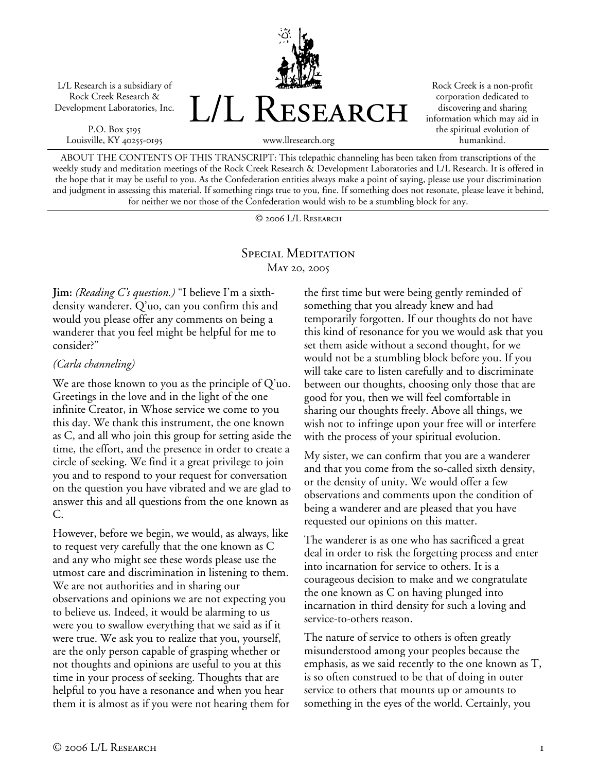L/L Research is a subsidiary of Rock Creek Research & Development Laboratories, Inc.

P.O. Box 5195 Louisville, KY 40255-0195



Rock Creek is a non-profit corporation dedicated to discovering and sharing information which may aid in the spiritual evolution of humankind.

www.llresearch.org

ABOUT THE CONTENTS OF THIS TRANSCRIPT: This telepathic channeling has been taken from transcriptions of the weekly study and meditation meetings of the Rock Creek Research & Development Laboratories and L/L Research. It is offered in the hope that it may be useful to you. As the Confederation entities always make a point of saying, please use your discrimination and judgment in assessing this material. If something rings true to you, fine. If something does not resonate, please leave it behind, for neither we nor those of the Confederation would wish to be a stumbling block for any.

© 2006 L/L Research

# SPECIAL MEDITATION May 20, 2005

**Jim:** *(Reading C's question.)* "I believe I'm a sixthdensity wanderer. Q'uo, can you confirm this and would you please offer any comments on being a wanderer that you feel might be helpful for me to consider?"

### *(Carla channeling)*

We are those known to you as the principle of Q'uo. Greetings in the love and in the light of the one infinite Creator, in Whose service we come to you this day. We thank this instrument, the one known as C, and all who join this group for setting aside the time, the effort, and the presence in order to create a circle of seeking. We find it a great privilege to join you and to respond to your request for conversation on the question you have vibrated and we are glad to answer this and all questions from the one known as C.

However, before we begin, we would, as always, like to request very carefully that the one known as C and any who might see these words please use the utmost care and discrimination in listening to them. We are not authorities and in sharing our observations and opinions we are not expecting you to believe us. Indeed, it would be alarming to us were you to swallow everything that we said as if it were true. We ask you to realize that you, yourself, are the only person capable of grasping whether or not thoughts and opinions are useful to you at this time in your process of seeking. Thoughts that are helpful to you have a resonance and when you hear them it is almost as if you were not hearing them for the first time but were being gently reminded of something that you already knew and had temporarily forgotten. If our thoughts do not have this kind of resonance for you we would ask that you set them aside without a second thought, for we would not be a stumbling block before you. If you will take care to listen carefully and to discriminate between our thoughts, choosing only those that are good for you, then we will feel comfortable in sharing our thoughts freely. Above all things, we wish not to infringe upon your free will or interfere with the process of your spiritual evolution.

My sister, we can confirm that you are a wanderer and that you come from the so-called sixth density, or the density of unity. We would offer a few observations and comments upon the condition of being a wanderer and are pleased that you have requested our opinions on this matter.

The wanderer is as one who has sacrificed a great deal in order to risk the forgetting process and enter into incarnation for service to others. It is a courageous decision to make and we congratulate the one known as C on having plunged into incarnation in third density for such a loving and service-to-others reason.

The nature of service to others is often greatly misunderstood among your peoples because the emphasis, as we said recently to the one known as T, is so often construed to be that of doing in outer service to others that mounts up or amounts to something in the eyes of the world. Certainly, you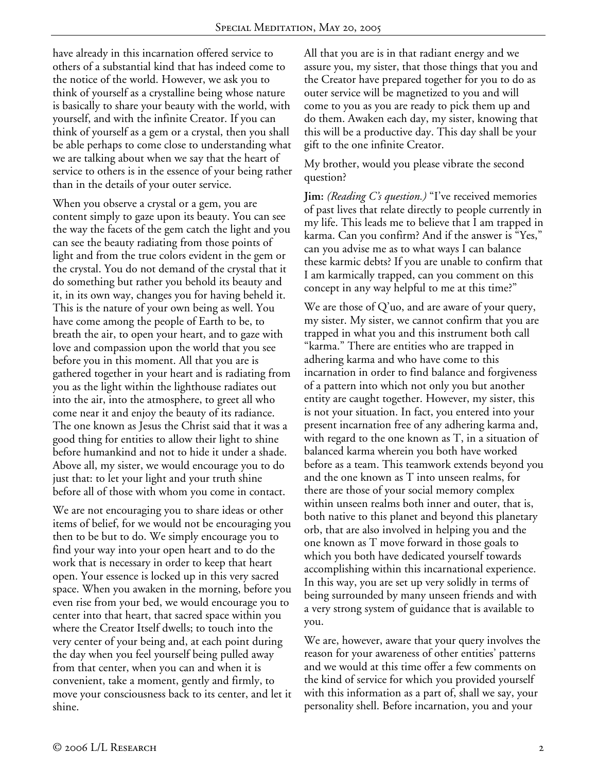have already in this incarnation offered service to others of a substantial kind that has indeed come to the notice of the world. However, we ask you to think of yourself as a crystalline being whose nature is basically to share your beauty with the world, with yourself, and with the infinite Creator. If you can think of yourself as a gem or a crystal, then you shall be able perhaps to come close to understanding what we are talking about when we say that the heart of service to others is in the essence of your being rather than in the details of your outer service.

When you observe a crystal or a gem, you are content simply to gaze upon its beauty. You can see the way the facets of the gem catch the light and you can see the beauty radiating from those points of light and from the true colors evident in the gem or the crystal. You do not demand of the crystal that it do something but rather you behold its beauty and it, in its own way, changes you for having beheld it. This is the nature of your own being as well. You have come among the people of Earth to be, to breath the air, to open your heart, and to gaze with love and compassion upon the world that you see before you in this moment. All that you are is gathered together in your heart and is radiating from you as the light within the lighthouse radiates out into the air, into the atmosphere, to greet all who come near it and enjoy the beauty of its radiance. The one known as Jesus the Christ said that it was a good thing for entities to allow their light to shine before humankind and not to hide it under a shade. Above all, my sister, we would encourage you to do just that: to let your light and your truth shine before all of those with whom you come in contact.

We are not encouraging you to share ideas or other items of belief, for we would not be encouraging you then to be but to do. We simply encourage you to find your way into your open heart and to do the work that is necessary in order to keep that heart open. Your essence is locked up in this very sacred space. When you awaken in the morning, before you even rise from your bed, we would encourage you to center into that heart, that sacred space within you where the Creator Itself dwells; to touch into the very center of your being and, at each point during the day when you feel yourself being pulled away from that center, when you can and when it is convenient, take a moment, gently and firmly, to move your consciousness back to its center, and let it shine.

All that you are is in that radiant energy and we assure you, my sister, that those things that you and the Creator have prepared together for you to do as outer service will be magnetized to you and will come to you as you are ready to pick them up and do them. Awaken each day, my sister, knowing that this will be a productive day. This day shall be your gift to the one infinite Creator.

My brother, would you please vibrate the second question?

**Jim:** *(Reading C's question.)* "I've received memories of past lives that relate directly to people currently in my life. This leads me to believe that I am trapped in karma. Can you confirm? And if the answer is "Yes," can you advise me as to what ways I can balance these karmic debts? If you are unable to confirm that I am karmically trapped, can you comment on this concept in any way helpful to me at this time?"

We are those of  $Q'$ uo, and are aware of your query, my sister. My sister, we cannot confirm that you are trapped in what you and this instrument both call "karma." There are entities who are trapped in adhering karma and who have come to this incarnation in order to find balance and forgiveness of a pattern into which not only you but another entity are caught together. However, my sister, this is not your situation. In fact, you entered into your present incarnation free of any adhering karma and, with regard to the one known as T, in a situation of balanced karma wherein you both have worked before as a team. This teamwork extends beyond you and the one known as T into unseen realms, for there are those of your social memory complex within unseen realms both inner and outer, that is, both native to this planet and beyond this planetary orb, that are also involved in helping you and the one known as T move forward in those goals to which you both have dedicated yourself towards accomplishing within this incarnational experience. In this way, you are set up very solidly in terms of being surrounded by many unseen friends and with a very strong system of guidance that is available to you.

We are, however, aware that your query involves the reason for your awareness of other entities' patterns and we would at this time offer a few comments on the kind of service for which you provided yourself with this information as a part of, shall we say, your personality shell. Before incarnation, you and your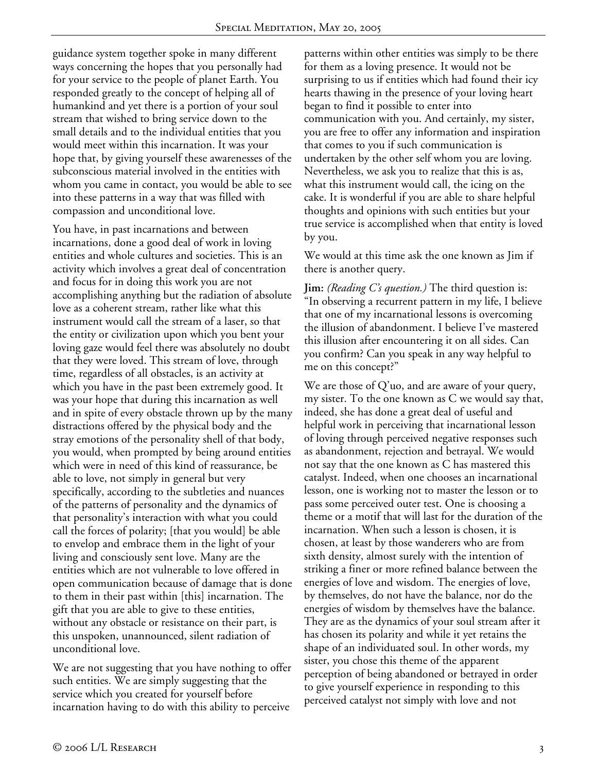guidance system together spoke in many different ways concerning the hopes that you personally had for your service to the people of planet Earth. You responded greatly to the concept of helping all of humankind and yet there is a portion of your soul stream that wished to bring service down to the small details and to the individual entities that you would meet within this incarnation. It was your hope that, by giving yourself these awarenesses of the subconscious material involved in the entities with whom you came in contact, you would be able to see into these patterns in a way that was filled with compassion and unconditional love.

You have, in past incarnations and between incarnations, done a good deal of work in loving entities and whole cultures and societies. This is an activity which involves a great deal of concentration and focus for in doing this work you are not accomplishing anything but the radiation of absolute love as a coherent stream, rather like what this instrument would call the stream of a laser, so that the entity or civilization upon which you bent your loving gaze would feel there was absolutely no doubt that they were loved. This stream of love, through time, regardless of all obstacles, is an activity at which you have in the past been extremely good. It was your hope that during this incarnation as well and in spite of every obstacle thrown up by the many distractions offered by the physical body and the stray emotions of the personality shell of that body, you would, when prompted by being around entities which were in need of this kind of reassurance, be able to love, not simply in general but very specifically, according to the subtleties and nuances of the patterns of personality and the dynamics of that personality's interaction with what you could call the forces of polarity; [that you would] be able to envelop and embrace them in the light of your living and consciously sent love. Many are the entities which are not vulnerable to love offered in open communication because of damage that is done to them in their past within [this] incarnation. The gift that you are able to give to these entities, without any obstacle or resistance on their part, is this unspoken, unannounced, silent radiation of unconditional love.

We are not suggesting that you have nothing to offer such entities. We are simply suggesting that the service which you created for yourself before incarnation having to do with this ability to perceive

patterns within other entities was simply to be there for them as a loving presence. It would not be surprising to us if entities which had found their icy hearts thawing in the presence of your loving heart began to find it possible to enter into communication with you. And certainly, my sister, you are free to offer any information and inspiration that comes to you if such communication is undertaken by the other self whom you are loving. Nevertheless, we ask you to realize that this is as, what this instrument would call, the icing on the cake. It is wonderful if you are able to share helpful thoughts and opinions with such entities but your true service is accomplished when that entity is loved by you.

We would at this time ask the one known as Jim if there is another query.

**Jim:** *(Reading C's question.)* The third question is: "In observing a recurrent pattern in my life, I believe that one of my incarnational lessons is overcoming the illusion of abandonment. I believe I've mastered this illusion after encountering it on all sides. Can you confirm? Can you speak in any way helpful to me on this concept?"

We are those of Q'uo, and are aware of your query, my sister. To the one known as C we would say that, indeed, she has done a great deal of useful and helpful work in perceiving that incarnational lesson of loving through perceived negative responses such as abandonment, rejection and betrayal. We would not say that the one known as C has mastered this catalyst. Indeed, when one chooses an incarnational lesson, one is working not to master the lesson or to pass some perceived outer test. One is choosing a theme or a motif that will last for the duration of the incarnation. When such a lesson is chosen, it is chosen, at least by those wanderers who are from sixth density, almost surely with the intention of striking a finer or more refined balance between the energies of love and wisdom. The energies of love, by themselves, do not have the balance, nor do the energies of wisdom by themselves have the balance. They are as the dynamics of your soul stream after it has chosen its polarity and while it yet retains the shape of an individuated soul. In other words, my sister, you chose this theme of the apparent perception of being abandoned or betrayed in order to give yourself experience in responding to this perceived catalyst not simply with love and not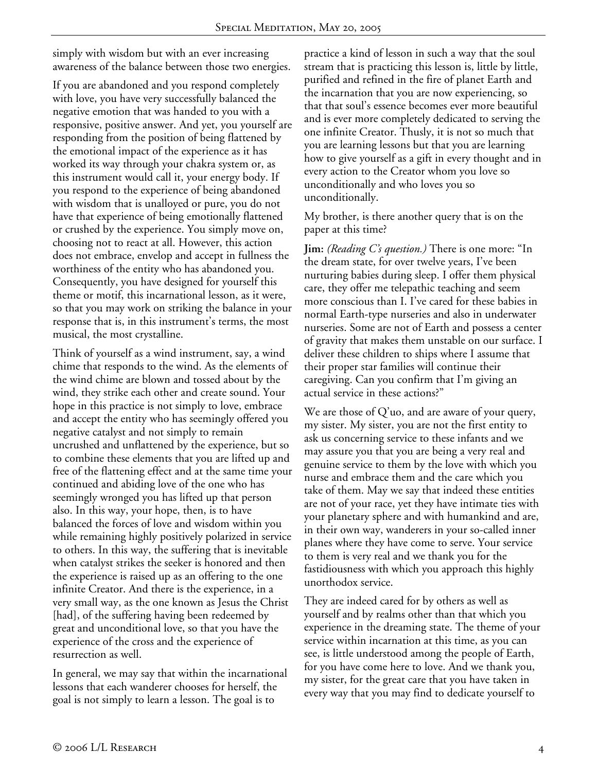simply with wisdom but with an ever increasing awareness of the balance between those two energies.

If you are abandoned and you respond completely with love, you have very successfully balanced the negative emotion that was handed to you with a responsive, positive answer. And yet, you yourself are responding from the position of being flattened by the emotional impact of the experience as it has worked its way through your chakra system or, as this instrument would call it, your energy body. If you respond to the experience of being abandoned with wisdom that is unalloyed or pure, you do not have that experience of being emotionally flattened or crushed by the experience. You simply move on, choosing not to react at all. However, this action does not embrace, envelop and accept in fullness the worthiness of the entity who has abandoned you. Consequently, you have designed for yourself this theme or motif, this incarnational lesson, as it were, so that you may work on striking the balance in your response that is, in this instrument's terms, the most musical, the most crystalline.

Think of yourself as a wind instrument, say, a wind chime that responds to the wind. As the elements of the wind chime are blown and tossed about by the wind, they strike each other and create sound. Your hope in this practice is not simply to love, embrace and accept the entity who has seemingly offered you negative catalyst and not simply to remain uncrushed and unflattened by the experience, but so to combine these elements that you are lifted up and free of the flattening effect and at the same time your continued and abiding love of the one who has seemingly wronged you has lifted up that person also. In this way, your hope, then, is to have balanced the forces of love and wisdom within you while remaining highly positively polarized in service to others. In this way, the suffering that is inevitable when catalyst strikes the seeker is honored and then the experience is raised up as an offering to the one infinite Creator. And there is the experience, in a very small way, as the one known as Jesus the Christ [had], of the suffering having been redeemed by great and unconditional love, so that you have the experience of the cross and the experience of resurrection as well.

In general, we may say that within the incarnational lessons that each wanderer chooses for herself, the goal is not simply to learn a lesson. The goal is to

practice a kind of lesson in such a way that the soul stream that is practicing this lesson is, little by little, purified and refined in the fire of planet Earth and the incarnation that you are now experiencing, so that that soul's essence becomes ever more beautiful and is ever more completely dedicated to serving the one infinite Creator. Thusly, it is not so much that you are learning lessons but that you are learning how to give yourself as a gift in every thought and in every action to the Creator whom you love so unconditionally and who loves you so unconditionally.

My brother, is there another query that is on the paper at this time?

**Jim:** *(Reading C's question.)* There is one more: "In the dream state, for over twelve years, I've been nurturing babies during sleep. I offer them physical care, they offer me telepathic teaching and seem more conscious than I. I've cared for these babies in normal Earth-type nurseries and also in underwater nurseries. Some are not of Earth and possess a center of gravity that makes them unstable on our surface. I deliver these children to ships where I assume that their proper star families will continue their caregiving. Can you confirm that I'm giving an actual service in these actions?"

We are those of Q'uo, and are aware of your query, my sister. My sister, you are not the first entity to ask us concerning service to these infants and we may assure you that you are being a very real and genuine service to them by the love with which you nurse and embrace them and the care which you take of them. May we say that indeed these entities are not of your race, yet they have intimate ties with your planetary sphere and with humankind and are, in their own way, wanderers in your so-called inner planes where they have come to serve. Your service to them is very real and we thank you for the fastidiousness with which you approach this highly unorthodox service.

They are indeed cared for by others as well as yourself and by realms other than that which you experience in the dreaming state. The theme of your service within incarnation at this time, as you can see, is little understood among the people of Earth, for you have come here to love. And we thank you, my sister, for the great care that you have taken in every way that you may find to dedicate yourself to